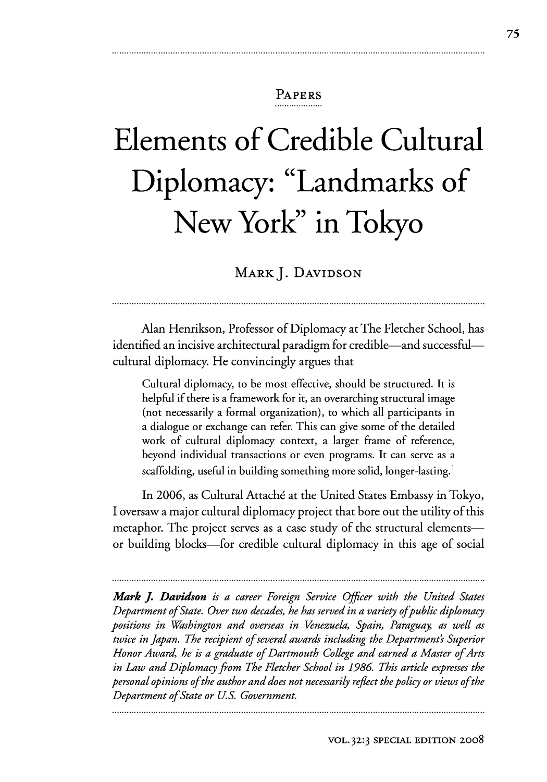# PAPERS

# **Elements of Credible Cultural Diplomacy: "Landmarks of New York" in Tokyo**

MARK J. DAVIDSON

Alan Henrikson, Professor of Diplomacy at The Fletcher School, has identified an incisive architectural paradigm for credible—and successful cultural diplomacy. He convincingly argues that

Cultural diplomacy, to be most effective, should be structured. It is helpful if there is a framework for it, an overarching structural image (not necessarily a formal organization), to which all participants in a dialogue or exchange can refer. This can give some of the detailed work of cultural diplomacy context, a larger frame of reference, beyond individual transactions or even programs. It can serve as a scaffolding, useful in building something more solid, longer-lasting.<sup>1</sup>

In 2006, as Cultural Attaché at the United States Embassy in Tokyo, I oversaw a major cultural diplomacy project that bore out the utility of this metaphor. The project serves as a case study of the structural elementsor building blocks-for credible cultural diplomacy in this age of social

*Mark J. Davidson is a career Foreign Service Officer with the United States Department of State. Over two decades, he has served in a variety of public diplomacy positions in Washington and overseas in Venezuela, Spain, Paraguay, as well as twice in Japan. The recipient of several awards including the Department's Superior Honor Award, he is a graduate of Dartmouth College and earned a Master of Arts in Law and Diplomacy from The Fletcher School in 1986. This article expresses the personal opinions of the author and does not necessarily reflect the policy or views of the Department of State or U.S. Government.*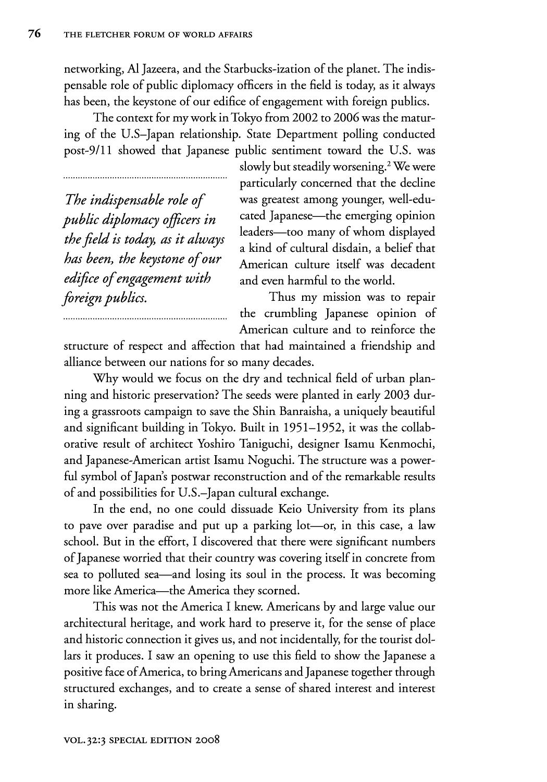networking, **Al** Jazeera, and the Starbucks-ization of the planet. The indispensable role of public diplomacy officers in the field is today, as it always has been, the keystone of our edifice of engagement with foreign publics.

The context for my work in Tokyo from 2002 to 2006 was the maturing of the U.S-Japan relationship. State Department polling conducted post-9/11 showed that Japanese public sentiment toward the U.S. was

*The indispensable role of public diplomacy officers in the field is today, as it always has been, the keystone of our edifice of engagement with foreign publics.*

slowly but steadily worsening.2 We were particularly concerned that the decline was greatest among younger, well-educated Japanese—the emerging opinion leaders-too many of whom displayed a kind of cultural disdain, a belief that American culture itself was decadent and even harmful to the world.

Thus my mission was to repair the crumbling Japanese opinion of American culture and to reinforce the

structure of respect and affection that had maintained a friendship and alliance between our nations for so many decades.

Why would we focus on the dry and technical field of urban planning and historic preservation? The seeds were planted in early 2003 during a grassroots campaign to save the Shin Banraisha, a uniquely beautiful and significant building in Tokyo. Built in 1951-1952, it was the collaborative result of architect Yoshiro Taniguchi, designer Isamu Kenmochi, and Japanese-American artist Isamu Noguchi. The structure was a powerful symbol of Japan's postwar reconstruction and of the remarkable results of and possibilities for U.S.-Japan cultural exchange.

In the end, no one could dissuade Keio University from its plans to pave over paradise and put up a parking lot—or, in this case, a law school. But in the effort, I discovered that there were significant numbers of Japanese worried that their country was covering itself in concrete from sea to polluted sea-and losing its soul in the process. It was becoming more like America—the America they scorned.

This was not the America I knew. Americans by and large value our architectural heritage, and work hard to preserve it, for the sense of place and historic connection it gives us, and not incidentally, for the tourist dollars it produces. I saw an opening to use this field to show the Japanese a positive face of America, to bring Americans and Japanese together through structured exchanges, and to create a sense of shared interest and interest in sharing.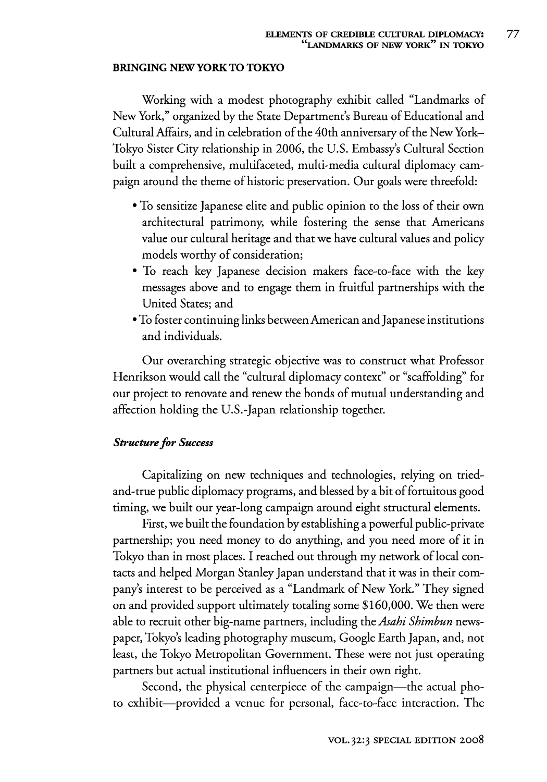#### **BRINGING NEWYORK TO TOKYO**

Working with a modest photography exhibit called "Landmarks of New York," organized by the State Department's Bureau of Educational and Cultural Affairs, and in celebration of the 40th anniversary of the New York-Tokyo Sister City relationship in 2006, the U.S. Embassy's Cultural Section built a comprehensive, multifaceted, multi-media cultural diplomacy campaign around the theme of historic preservation. Our goals were threefold:

- **"** To sensitize Japanese elite and public opinion to the loss of their own architectural patrimony, while fostering the sense that Americans value our cultural heritage and that we have cultural values and policy models worthy of consideration;
- **"** To reach key Japanese decision makers face-to-face with the key messages above and to engage them in fruitful partnerships with the United States; and
- \* To foster continuing links between American andJapanese institutions and individuals.

Our overarching strategic objective was to construct what Professor Henrikson would call the "cultural diplomacy context" or "scaffolding" for our project to renovate and renew the bonds of mutual understanding and affection holding the U.S.-Japan relationship together.

#### **Structure for Success**

Capitalizing on new techniques and technologies, relying on triedand-true public diplomacy programs, and blessed by a bit of fortuitous good timing, we built our year-long campaign around eight structural elements.

First, we built the foundation by establishing a powerful public-private partnership; you need money to do anything, and you need more of it in Tokyo than in most places. I reached out through my network of local contacts and helped Morgan Stanley Japan understand that it was in their company's interest to be perceived as a "Landmark of New York." They signed on and provided support ultimately totaling some \$160,000. We then were able to recruit other big-name partners, including the *Asahi Shimbun* newspaper, Tokyo's leading photography museum, Google Earth Japan, and, not least, the Tokyo Metropolitan Government. These were not just operating partners but actual institutional influencers in their own right.

Second, the physical centerpiece of the campaign—the actual photo exhibit-provided a venue for personal, face-to-face interaction. The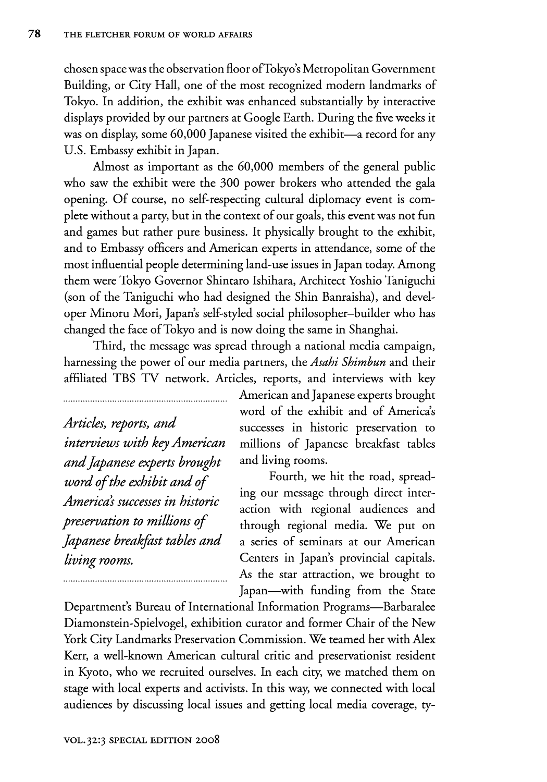chosen space was the observation floor ofTokyo's Metropolitan Government Building, or City Hall, one of the most recognized modern landmarks of Tokyo. In addition, the exhibit was enhanced substantially by interactive displays provided by our partners at Google Earth. During the five weeks it was on display, some 60,000 Japanese visited the exhibit-a record for any U.S. Embassy exhibit in Japan.

Almost as important as the 60,000 members of the general public who saw the exhibit were the 300 power brokers who attended the gala opening. Of course, no self-respecting cultural diplomacy event is complete without a party, but in the context of our goals, this event was not fun and games but rather pure business. It physically brought to the exhibit, and to Embassy officers and American experts in attendance, some of the most influential people determining land-use issues in Japan today. Among them were Tokyo Governor Shintaro Ishihara, Architect Yoshio Taniguchi (son of the Taniguchi who had designed the Shin Banraisha), and developer Minoru Mori, Japan's self-styled social philosopher-builder who has changed the face of Tokyo and is now doing the same in Shanghai.

Third, the message was spread through a national media campaign, harnessing the power of our media partners, the *Asahi Shimbun* and their affiliated TBS TV network. Articles, reports, and interviews with key

*Articles, reports, and interviews with key American and Japanese experts brought word of the exhibit and of America's successes in historic preservation to millions of Japanese breakfast tables and living rooms.*

American and Japanese experts brought word of the exhibit and of America's successes in historic preservation to millions of Japanese breakfast tables and living rooms.

Fourth, we hit the road, spreading our message through direct interaction with regional audiences and through regional media. We put on a series of seminars at our American Centers in Japan's provincial capitals. As the star attraction, we brought to Japan—with funding from the State

Department's Bureau of International Information Programs-Barbaralee Diamonstein-Spielvogel, exhibition curator and former Chair of the New York City Landmarks Preservation Commission. We teamed her with Alex Kerr, a well-known American cultural critic and preservationist resident in Kyoto, who we recruited ourselves. In each city, we matched them on stage with local experts and activists. In this way, we connected with local audiences by discussing local issues and getting local media coverage, ty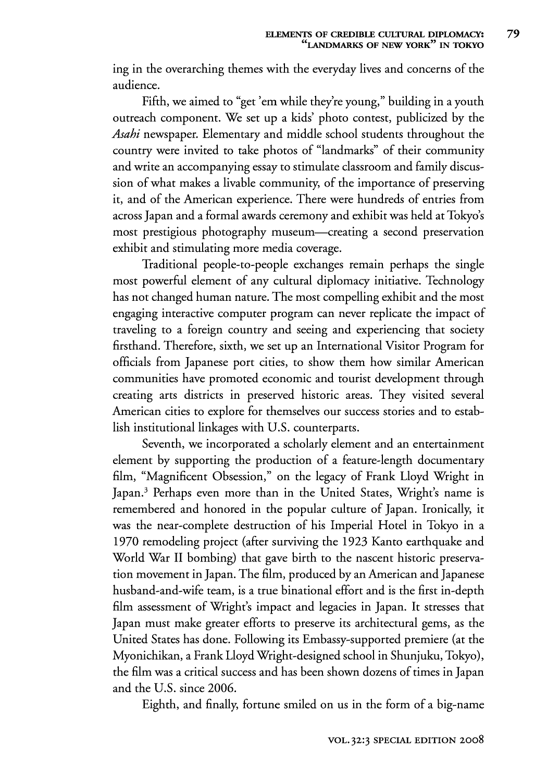ing in the overarching themes with the everyday lives and concerns of the audience.

Fifth, we aimed to "get 'em while they're young," building in a youth outreach component. We set up a kids' photo contest, publicized by the *Asahi* newspaper. Elementary and middle school students throughout the country were invited to take photos of "landmarks" of their community and write an accompanying essay to stimulate classroom and family discussion of what makes a livable community, of the importance of preserving it, and of the American experience. There were hundreds of entries from across Japan and a formal awards ceremony and exhibit was held at Tokyo's most prestigious photography museum-creating a second preservation exhibit and stimulating more media coverage.

Traditional people-to-people exchanges remain perhaps the single most powerful element of any cultural diplomacy initiative. Technology has not changed human nature. The most compelling exhibit and the most engaging interactive computer program can never replicate the impact of traveling to a foreign country and seeing and experiencing that society firsthand. Therefore, sixth, we set up an International Visitor Program for officials from Japanese port cities, to show them how similar American communities have promoted economic and tourist development through creating arts districts in preserved historic areas. They visited several American cities to explore for themselves our success stories and to establish institutional linkages with **U.S.** counterparts.

Seventh, we incorporated a scholarly element and an entertainment element by supporting the production of a feature-length documentary **film,** "Magnificent Obsession," on the legacy of Frank Lloyd Wright in Japan.<sup>3</sup> Perhaps even more than in the United States, Wright's name is remembered and honored in the popular culture of Japan. Ironically, it was the near-complete destruction of his Imperial Hotel in Tokyo in a 1970 remodeling project (after surviving the 1923 Kanto earthquake and World War **II** bombing) that gave birth to the nascent historic preservation movement in Japan. The film, produced by an American and Japanese husband-and-wife team, is a true binational effort and is the first in-depth film assessment of Wright's impact and legacies in Japan. It stresses that Japan must make greater efforts to preserve its architectural gems, as the United States has done. Following its Embassy-supported premiere (at the Myonichikan, a Frank Lloyd Wright-designed school in Shunjuku, Tokyo), the film was a critical success and has been shown dozens of times in Japan and the **U.S.** since 2006.

Eighth, and finally, fortune smiled on us in the form of a big-name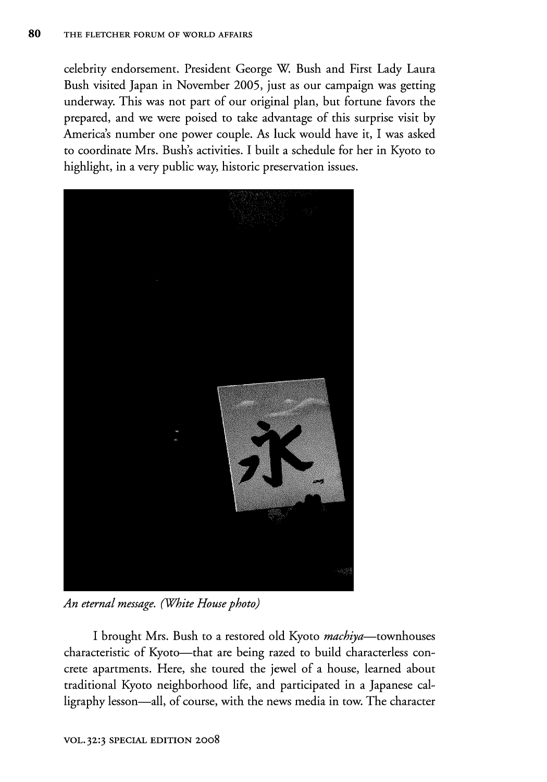celebrity endorsement. President George W. Bush and First Lady Laura Bush visited Japan in November 2005, just as our campaign was getting underway. This was not part of our original plan, but fortune favors the prepared, and we were poised to take advantage of this surprise visit by America's number one power couple. As luck would have it, I was asked to coordinate Mrs. Bush's activities. I built a schedule for her in Kyoto to highlight, in a very public way, historic preservation issues.



*An eternal message. (White House photo)*

I brought Mrs. Bush to a restored old Kyoto *machiya-townhouses* characteristic of Kyoto—that are being razed to build characterless concrete apartments. Here, she toured the jewel of a house, learned about traditional Kyoto neighborhood life, and participated in a Japanese calligraphy lesson-all, of course, with the news media in tow. The character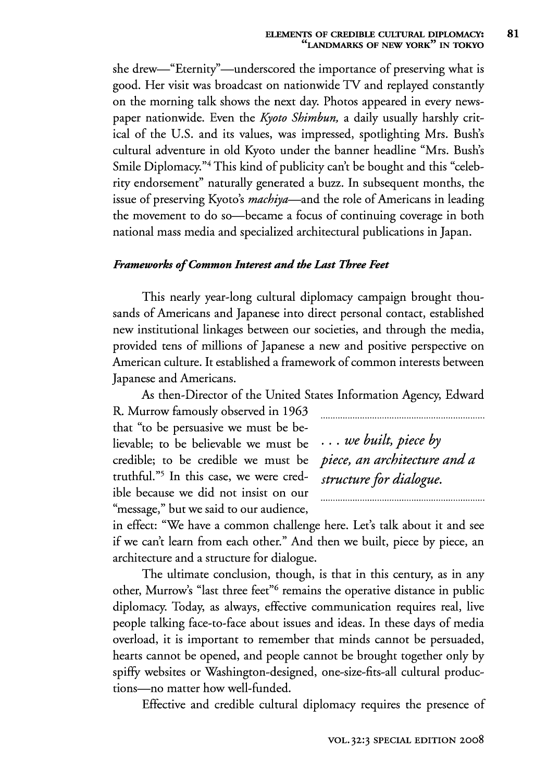she drew—"Eternity"—underscored the importance of preserving what is good. Her visit was broadcast on nationwide TV and replayed constantly on the morning talk shows the next day. Photos appeared in every newspaper nationwide. Even the *Kyoto Shimbun,* a daily usually harshly critical of the U.S. and its values, was impressed, spotlighting Mrs. Bush's cultural adventure in old Kyoto under the banner headline "Mrs. Bush's Smile Diplomacy."<sup>4</sup> This kind of publicity can't be bought and this "celebrity endorsement" naturally generated a buzz. In subsequent months, the issue of preserving Kyoto's *machiya-and* the role of Americans in leading the movement to do so—became a focus of continuing coverage in both national mass media and specialized architectural publications in Japan.

### *Frameworks of Common Interest and the Last Three Feet*

This nearly year-long cultural diplomacy campaign brought thousands of Americans and Japanese into direct personal contact, established new institutional linkages between our societies, and through the media, provided tens of millions of Japanese a new and positive perspective on American culture. It established a framework of common interests between Japanese and Americans.

As then-Director of the United States Information Agency, Edward

R. Murrow famously observed in 1963 that "to be persuasive we must be believable; to be believable we must be ... *we built, piece by* credible; to be credible we must be *piece, an architecture and a* truthful."<sup>5</sup> In this case, we were cred- *structure for dialogue*. ible because we did not insist on our "message," but we said to our audience,

in effect: "We have a common challenge here. Let's talk about it and see if we can't learn from each other." And then we built, piece by piece, an architecture and a structure for dialogue.

The ultimate conclusion, though, is that in this century, as in any other, Murrow's "last three feet"<sup>6</sup> remains the operative distance in public diplomacy. Today, as always, effective communication requires real, live people talking face-to-face about issues and ideas. In these days of media overload, it is important to remember that minds cannot be persuaded, hearts cannot be opened, and people cannot be brought together only by spiffy websites or Washington-designed, one-size-fits-all cultural productions-no matter how well-funded.

Effective and credible cultural diplomacy requires the presence of